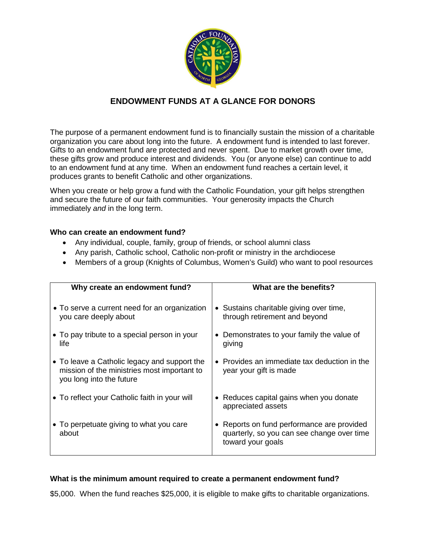

## **ENDOWMENT FUNDS AT A GLANCE FOR DONORS**

The purpose of a permanent endowment fund is to financially sustain the mission of a charitable organization you care about long into the future. A endowment fund is intended to last forever. Gifts to an endowment fund are protected and never spent. Due to market growth over time, these gifts grow and produce interest and dividends. You (or anyone else) can continue to add to an endowment fund at any time. When an endowment fund reaches a certain level, it produces grants to benefit Catholic and other organizations.

When you create or help grow a fund with the Catholic Foundation, your gift helps strengthen and secure the future of our faith communities. Your generosity impacts the Church immediately *and* in the long term.

## **Who can create an endowment fund?**

- Any individual, couple, family, group of friends, or school alumni class
- Any parish, Catholic school, Catholic non-profit or ministry in the archdiocese
- Members of a group (Knights of Columbus, Women's Guild) who want to pool resources

| Why create an endowment fund?                                                                                           | What are the benefits?                                                                                        |
|-------------------------------------------------------------------------------------------------------------------------|---------------------------------------------------------------------------------------------------------------|
| • To serve a current need for an organization<br>you care deeply about                                                  | • Sustains charitable giving over time,<br>through retirement and beyond                                      |
| • To pay tribute to a special person in your<br>life                                                                    | Demonstrates to your family the value of<br>$\bullet$<br>giving                                               |
| • To leave a Catholic legacy and support the<br>mission of the ministries most important to<br>you long into the future | $\bullet$ Provides an immediate tax deduction in the<br>year your gift is made                                |
| • To reflect your Catholic faith in your will                                                                           | • Reduces capital gains when you donate<br>appreciated assets                                                 |
| • To perpetuate giving to what you care<br>about                                                                        | • Reports on fund performance are provided<br>quarterly, so you can see change over time<br>toward your goals |

## **What is the minimum amount required to create a permanent endowment fund?**

\$5,000. When the fund reaches \$25,000, it is eligible to make gifts to charitable organizations.